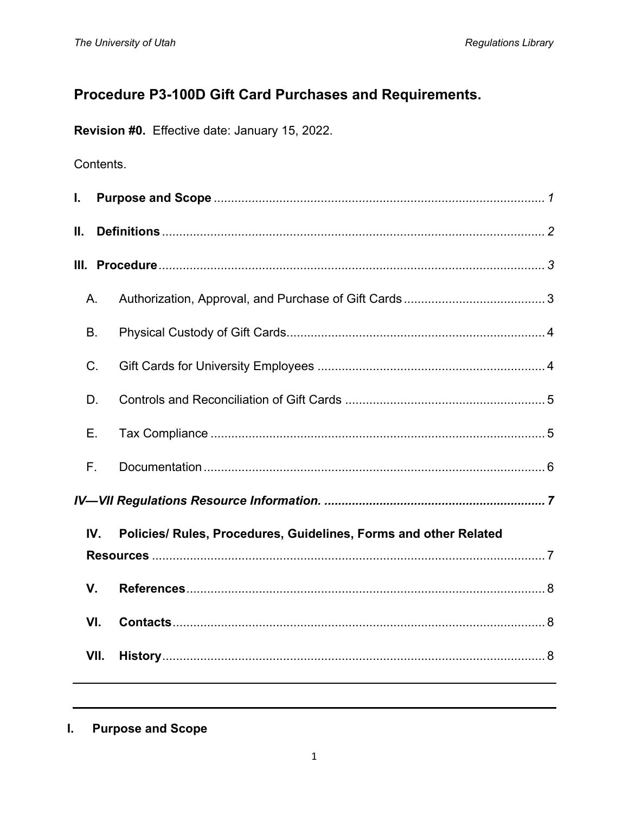# Procedure P3-100D Gift Card Purchases and Requirements.

Revision #0. Effective date: January 15, 2022.

# Contents.

| L. |           |                                                                  |
|----|-----------|------------------------------------------------------------------|
| Ш. |           |                                                                  |
|    |           |                                                                  |
|    | Α.        |                                                                  |
|    | <b>B.</b> |                                                                  |
|    | C.        |                                                                  |
|    | D.        |                                                                  |
|    | Е.        |                                                                  |
|    | F.        |                                                                  |
|    |           |                                                                  |
|    | IV.       | Policies/ Rules, Procedures, Guidelines, Forms and other Related |
|    |           |                                                                  |
|    | V.        |                                                                  |
|    | VI.       |                                                                  |
|    | VII.      |                                                                  |
|    |           |                                                                  |

<span id="page-0-0"></span>**Purpose and Scope** L.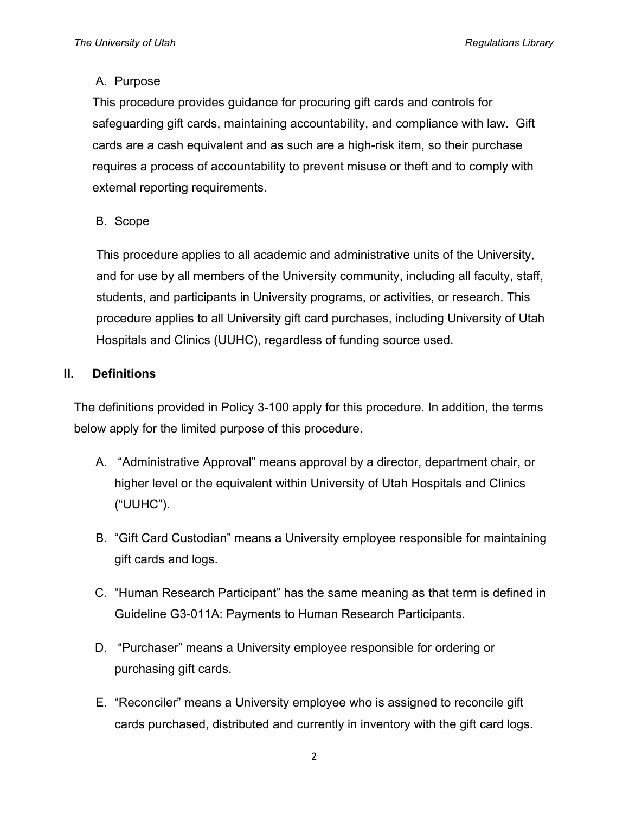### A. Purpose

This procedure provides guidance for procuring gift cards and controls for safeguarding gift cards, maintaining accountability, and compliance with law. Gift cards are a cash equivalent and as such are a high-risk item, so their purchase requires a process of accountability to prevent misuse or theft and to comply with external reporting requirements.

B. Scope

This procedure applies to all academic and administrative units of the University, and for use by all members of the University community, including all faculty, staff, students, and participants in University programs, or activities, or research. This procedure applies to all University gift card purchases, including University of Utah Hospitals and Clinics (UUHC), regardless of funding source used.

### <span id="page-1-0"></span>**II. Definitions**

The definitions provided in Policy 3-100 apply for this procedure. In addition, the terms below apply for the limited purpose of this procedure.

- A. "Administrative Approval" means approval by a director, department chair, or higher level or the equivalent within University of Utah Hospitals and Clinics ("UUHC").
- B. "Gift Card Custodian" means a University employee responsible for maintaining gift cards and logs.
- C. "Human Research Participant" has the same meaning as that term is defined in Guideline G3-011A: Payments to Human Research Participants.
- D. "Purchaser" means a University employee responsible for ordering or purchasing gift cards.
- E. "Reconciler" means a University employee who is assigned to reconcile gift cards purchased, distributed and currently in inventory with the gift card logs.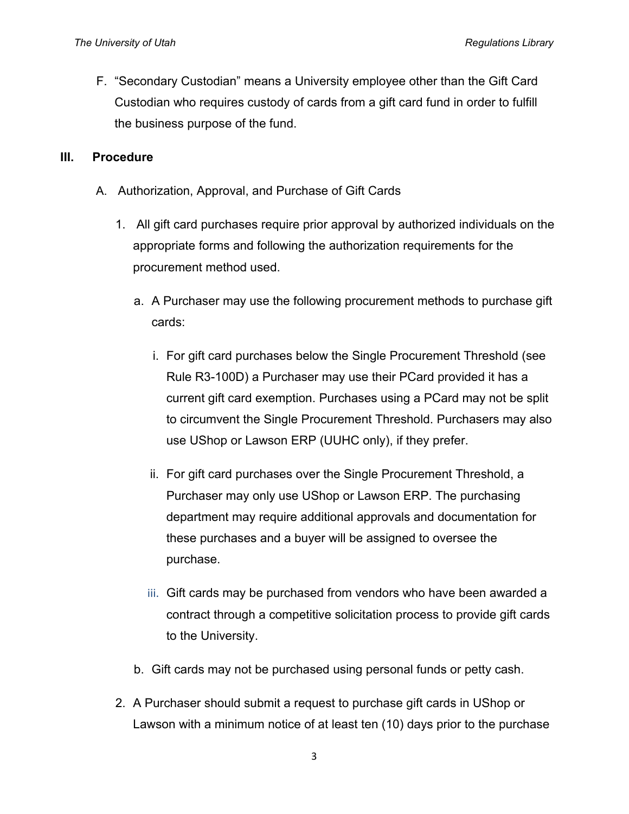F. "Secondary Custodian" means a University employee other than the Gift Card Custodian who requires custody of cards from a gift card fund in order to fulfill the business purpose of the fund.

#### <span id="page-2-0"></span>**III. Procedure**

- <span id="page-2-1"></span>A. Authorization, Approval, and Purchase of Gift Cards
	- 1. All gift card purchases require prior approval by authorized individuals on the appropriate forms and following the authorization requirements for the procurement method used.
		- a. A Purchaser may use the following procurement methods to purchase gift cards:
			- i. For gift card purchases below the Single Procurement Threshold (see Rule R3-100D) a Purchaser may use their PCard provided it has a current gift card exemption. Purchases using a PCard may not be split to circumvent the Single Procurement Threshold. Purchasers may also use UShop or Lawson ERP (UUHC only), if they prefer.
			- ii. For gift card purchases over the Single Procurement Threshold, a Purchaser may only use UShop or Lawson ERP. The purchasing department may require additional approvals and documentation for these purchases and a buyer will be assigned to oversee the purchase.
			- iii. Gift cards may be purchased from vendors who have been awarded a contract through a competitive solicitation process to provide gift cards to the University.
		- b. Gift cards may not be purchased using personal funds or petty cash.
	- 2. A Purchaser should submit a request to purchase gift cards in UShop or Lawson with a minimum notice of at least ten (10) days prior to the purchase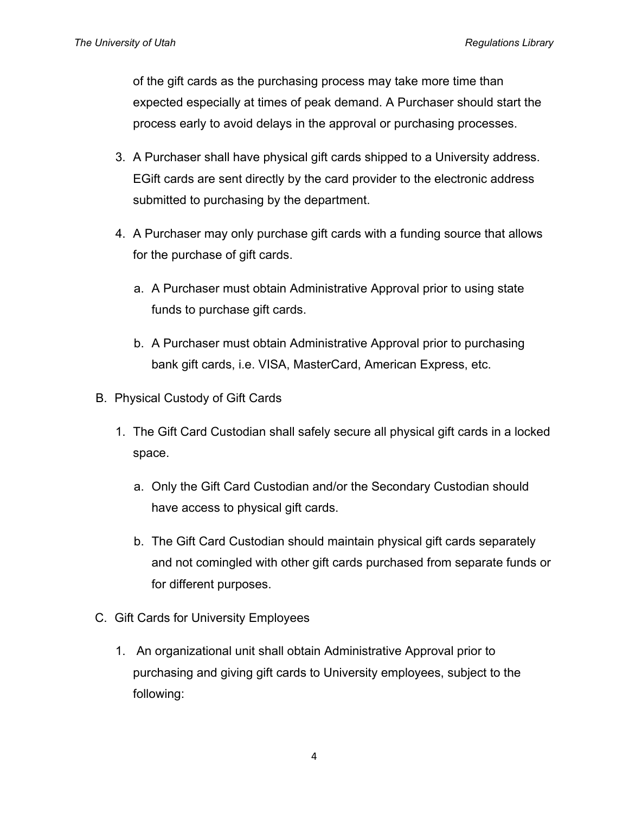of the gift cards as the purchasing process may take more time than expected especially at times of peak demand. A Purchaser should start the process early to avoid delays in the approval or purchasing processes.

- 3. A Purchaser shall have physical gift cards shipped to a University address. EGift cards are sent directly by the card provider to the electronic address submitted to purchasing by the department.
- 4. A Purchaser may only purchase gift cards with a funding source that allows for the purchase of gift cards.
	- a. A Purchaser must obtain Administrative Approval prior to using state funds to purchase gift cards.
	- b. A Purchaser must obtain Administrative Approval prior to purchasing bank gift cards, i.e. VISA, MasterCard, American Express, etc.
- <span id="page-3-0"></span>B. Physical Custody of Gift Cards
	- 1. The Gift Card Custodian shall safely secure all physical gift cards in a locked space.
		- a. Only the Gift Card Custodian and/or the Secondary Custodian should have access to physical gift cards.
		- b. The Gift Card Custodian should maintain physical gift cards separately and not comingled with other gift cards purchased from separate funds or for different purposes.
- <span id="page-3-1"></span>C. Gift Cards for University Employees
	- 1. An organizational unit shall obtain Administrative Approval prior to purchasing and giving gift cards to University employees, subject to the following: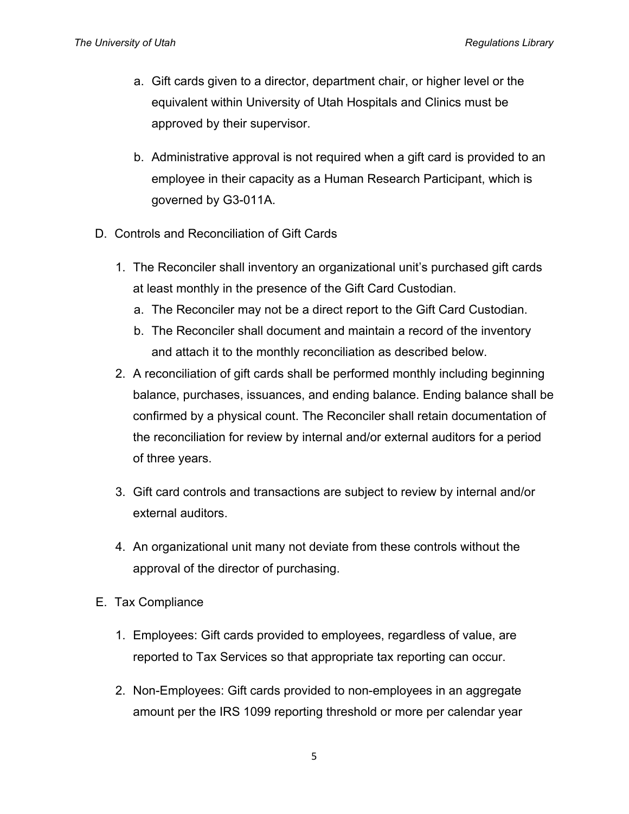- a. Gift cards given to a director, department chair, or higher level or the equivalent within University of Utah Hospitals and Clinics must be approved by their supervisor.
- b. Administrative approval is not required when a gift card is provided to an employee in their capacity as a Human Research Participant, which is governed by G3-011A.
- <span id="page-4-0"></span>D. Controls and Reconciliation of Gift Cards
	- 1. The Reconciler shall inventory an organizational unit's purchased gift cards at least monthly in the presence of the Gift Card Custodian.
		- a. The Reconciler may not be a direct report to the Gift Card Custodian.
		- b. The Reconciler shall document and maintain a record of the inventory and attach it to the monthly reconciliation as described below.
	- 2. A reconciliation of gift cards shall be performed monthly including beginning balance, purchases, issuances, and ending balance. Ending balance shall be confirmed by a physical count. The Reconciler shall retain documentation of the reconciliation for review by internal and/or external auditors for a period of three years.
	- 3. Gift card controls and transactions are subject to review by internal and/or external auditors.
	- 4. An organizational unit many not deviate from these controls without the approval of the director of purchasing.
- <span id="page-4-1"></span>E. Tax Compliance
	- 1. Employees: Gift cards provided to employees, regardless of value, are reported to Tax Services so that appropriate tax reporting can occur.
	- 2. Non-Employees: Gift cards provided to non-employees in an aggregate amount per the IRS 1099 reporting threshold or more per calendar year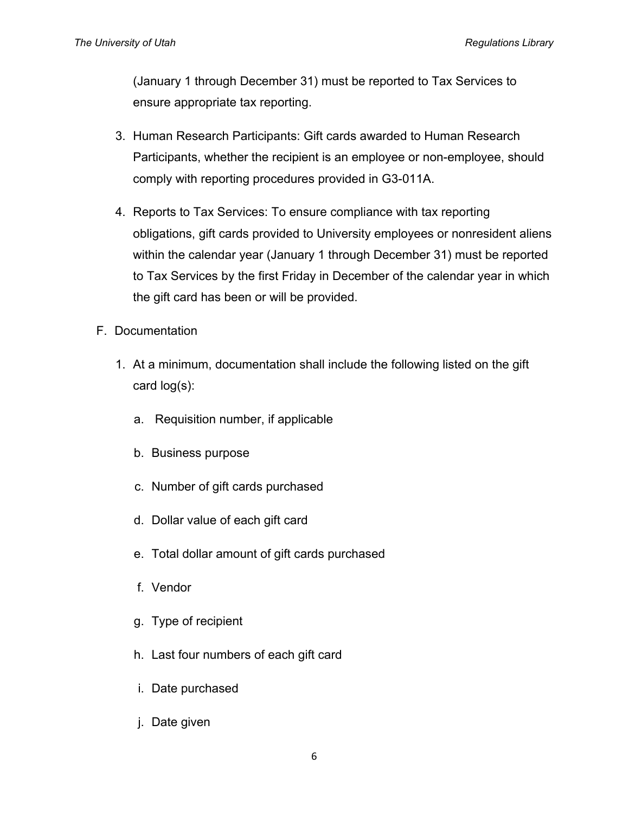(January 1 through December 31) must be reported to Tax Services to ensure appropriate tax reporting.

- 3. Human Research Participants: Gift cards awarded to Human Research Participants, whether the recipient is an employee or non-employee, should comply with reporting procedures provided in G3-011A.
- 4. Reports to Tax Services: To ensure compliance with tax reporting obligations, gift cards provided to University employees or nonresident aliens within the calendar year (January 1 through December 31) must be reported to Tax Services by the first Friday in December of the calendar year in which the gift card has been or will be provided.
- <span id="page-5-0"></span>F. Documentation
	- 1. At a minimum, documentation shall include the following listed on the gift card log(s):
		- a. Requisition number, if applicable
		- b. Business purpose
		- c. Number of gift cards purchased
		- d. Dollar value of each gift card
		- e. Total dollar amount of gift cards purchased
		- f. Vendor
		- g. Type of recipient
		- h. Last four numbers of each gift card
		- i. Date purchased
		- j. Date given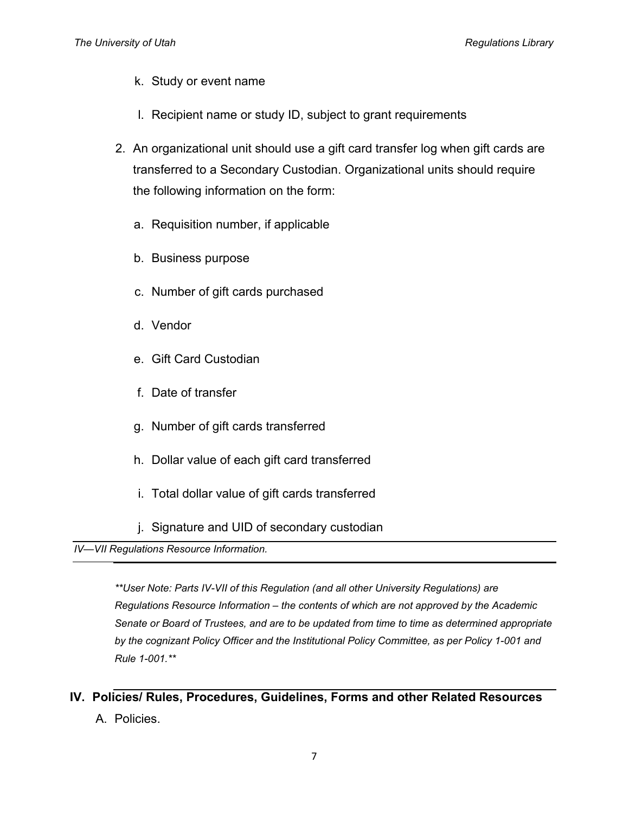- k. Study or event name
- l. Recipient name or study ID, subject to grant requirements
- 2. An organizational unit should use a gift card transfer log when gift cards are transferred to a Secondary Custodian. Organizational units should require the following information on the form:
	- a. Requisition number, if applicable
	- b. Business purpose
	- c. Number of gift cards purchased
	- d. Vendor
	- e. Gift Card Custodian
	- f. Date of transfer
	- g. Number of gift cards transferred
	- h. Dollar value of each gift card transferred
	- i. Total dollar value of gift cards transferred
	- j. Signature and UID of secondary custodian

<span id="page-6-0"></span>*IV—VII Regulations Resource Information.*

*\*\*User Note: Parts IV-VII of this Regulation (and all other University Regulations) are Regulations Resource Information – the contents of which are not approved by the Academic Senate or Board of Trustees, and are to be updated from time to time as determined appropriate by the cognizant Policy Officer and the Institutional Policy Committee, as per Policy 1-001 and Rule 1-001.\*\**

<span id="page-6-1"></span>**IV. Policies/ Rules, Procedures, Guidelines, Forms and other Related Resources** A. Policies.